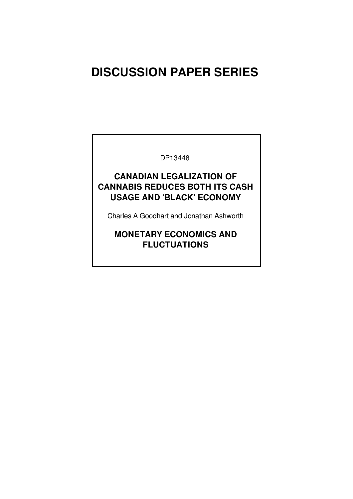# **DISCUSSION PAPER SERIES**

DP13448

### **CANADIAN LEGALIZATION OF CANNABIS REDUCES BOTH ITS CASH USAGE AND 'BLACK' ECONOMY**

Charles A Goodhart and Jonathan Ashworth

### **MONETARY ECONOMICS AND FLUCTUATIONS**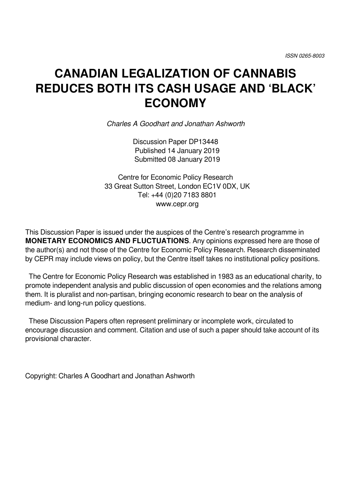# **CANADIAN LEGALIZATION OF CANNABIS REDUCES BOTH ITS CASH USAGE AND 'BLACK' ECONOMY**

*Charles A Goodhart and Jonathan Ashworth*

Discussion Paper DP13448 Published 14 January 2019 Submitted 08 January 2019

Centre for Economic Policy Research 33 Great Sutton Street, London EC1V 0DX, UK Tel: +44 (0)20 7183 8801 www.cepr.org

This Discussion Paper is issued under the auspices of the Centre's research programme in **MONETARY ECONOMICS AND FLUCTUATIONS**. Any opinions expressed here are those of the author(s) and not those of the Centre for Economic Policy Research. Research disseminated by CEPR may include views on policy, but the Centre itself takes no institutional policy positions.

 The Centre for Economic Policy Research was established in 1983 as an educational charity, to promote independent analysis and public discussion of open economies and the relations among them. It is pluralist and non-partisan, bringing economic research to bear on the analysis of medium- and long-run policy questions.

 These Discussion Papers often represent preliminary or incomplete work, circulated to encourage discussion and comment. Citation and use of such a paper should take account of its provisional character.

Copyright: Charles A Goodhart and Jonathan Ashworth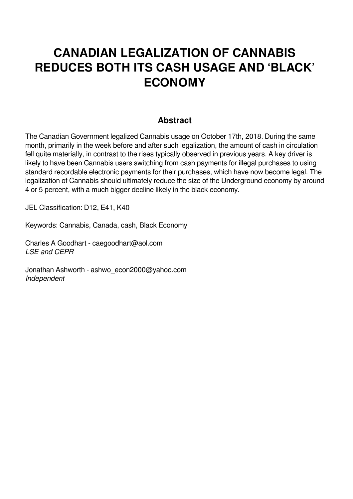# **CANADIAN LEGALIZATION OF CANNABIS REDUCES BOTH ITS CASH USAGE AND 'BLACK' ECONOMY**

### **Abstract**

The Canadian Government legalized Cannabis usage on October 17th, 2018. During the same month, primarily in the week before and after such legalization, the amount of cash in circulation fell quite materially, in contrast to the rises typically observed in previous years. A key driver is likely to have been Cannabis users switching from cash payments for illegal purchases to using standard recordable electronic payments for their purchases, which have now become legal. The legalization of Cannabis should ultimately reduce the size of the Underground economy by around 4 or 5 percent, with a much bigger decline likely in the black economy.

JEL Classification: D12, E41, K40

Keywords: Cannabis, Canada, cash, Black Economy

Charles A Goodhart - caegoodhart@aol.com *LSE and CEPR*

Jonathan Ashworth - ashwo\_econ2000@yahoo.com *Independent*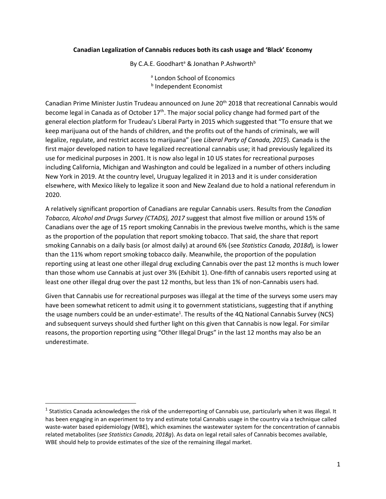#### **Canadian Legalization of Cannabis reduces both its cash usage and 'Black' Economy**

By C.A.E. Goodhart<sup>a</sup> & Jonathan P.Ashworth<sup>b</sup>

<sup>a</sup> London School of Economics behavior of the contract of the contract of the contract of the contract of the contract of the contract of th **b** Independent Economist

Canadian Prime Minister Justin Trudeau announced on June 20<sup>th</sup> 2018 that recreational Cannabis would become legal in Canada as of October 17<sup>th</sup>. The major social policy change had formed part of the general election platform for Trudeau's Liberal Party in 2015 which suggested that "To ensure that we keep marijuana out of the hands of children, and the profits out of the hands of criminals, we will legalize, regulate, and restrict access to marijuana" (see *Liberal Party of Canada, 2015*)*.* Canada is the first major developed nation to have legalized recreational cannabis use; it had previously legalized its use for medicinal purposes in 2001. It is now also legal in 10 US states for recreational purposes including California, Michigan and Washington and could be legalized in a number of others including New York in 2019. At the country level, Uruguay legalized it in 2013 and it is under consideration elsewhere, with Mexico likely to legalize it soon and New Zealand due to hold a national referendum in 2020.

A relatively significant proportion of Canadians are regular Cannabis users. Results from the *Canadian Tobacco, Alcohol and Drugs Survey (CTADS), 2017* suggest that almost five million or around 15% of Canadians over the age of 15 report smoking Cannabis in the previous twelve months, which is the same as the proportion of the population that report smoking tobacco. That said, the share that report smoking Cannabis on a daily basis (or almost daily) at around 6% (see *Statistics Canada, 2018d*)*,* is lower than the 11% whom report smoking tobacco daily. Meanwhile, the proportion of the population reporting using at least one other illegal drug excluding Cannabis over the past 12 months is much lower than those whom use Cannabis at just over 3% (Exhibit 1). One-fifth of cannabis users reported using at least one other illegal drug over the past 12 months, but less than 1% of non-Cannabis users had.

Given that Cannabis use for recreational purposes was illegal at the time of the surveys some users may have been somewhat reticent to admit using it to government statisticians, suggesting that if anything the usage numbers could be an under-estimate<sup>1</sup>. The results of the 4Q National Cannabis Survey (NCS) and subsequent surveys should shed further light on this given that Cannabis is now legal. For similar reasons, the proportion reporting using "Other Illegal Drugs" in the last 12 months may also be an underestimate.

 $\overline{\phantom{a}}$ 

 $^1$  Statistics Canada acknowledges the risk of the underreporting of Cannabis use, particularly when it was illegal. It has been engaging in an experiment to try and estimate total Cannabis usage in the country via a technique called waste-water based epidemiology (WBE), which examines the wastewater system for the concentration of cannabis related metabolites (*see Statistics Canada, 2018g*). As data on legal retail sales of Cannabis becomes available, WBE should help to provide estimates of the size of the remaining illegal market.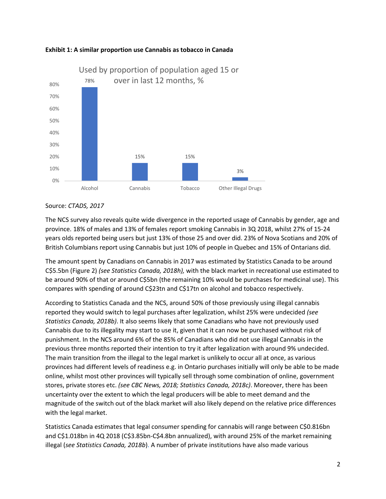



#### Source: *CTADS, 2017*

The NCS survey also reveals quite wide divergence in the reported usage of Cannabis by gender, age and province. 18% of males and 13% of females report smoking Cannabis in 3Q 2018, whilst 27% of 15-24 years olds reported being users but just 13% of those 25 and over did. 23% of Nova Scotians and 20% of British Columbians report using Cannabis but just 10% of people in Quebec and 15% of Ontarians did.

The amount spent by Canadians on Cannabis in 2017 was estimated by Statistics Canada to be around C\$5.5bn (Figure 2) *(see Statistics Canada, 2018h),* with the black market in recreational use estimated to be around 90% of that or around C\$5bn (the remaining 10% would be purchases for medicinal use). This compares with spending of around C\$23tn and C\$17tn on alcohol and tobacco respectively.

According to Statistics Canada and the NCS, around 50% of those previously using illegal cannabis reported they would switch to legal purchases after legalization, whilst 25% were undecided *(see Statistics Canada, 2018b)*. It also seems likely that some Canadians who have not previously used Cannabis due to its illegality may start to use it, given that it can now be purchased without risk of punishment. In the NCS around 6% of the 85% of Canadians who did not use illegal Cannabis in the previous three months reported their intention to try it after legalization with around 9% undecided. The main transition from the illegal to the legal market is unlikely to occur all at once, as various provinces had different levels of readiness e.g. in Ontario purchases initially will only be able to be made online, whilst most other provinces will typically sell through some combination of online, government stores, private stores etc. *(see CBC News, 2018; Statistics Canada, 2018c)*. Moreover, there has been uncertainty over the extent to which the legal producers will be able to meet demand and the magnitude of the switch out of the black market will also likely depend on the relative price differences with the legal market.

Statistics Canada estimates that legal consumer spending for cannabis will range between C\$0.816bn and C\$1.018bn in 4Q 2018 (C\$3.85bn-C\$4.8bn annualized), with around 25% of the market remaining illegal (*see Statistics Canada, 2018b*). A number of private institutions have also made various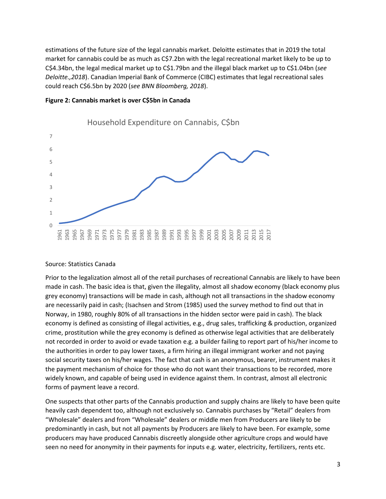estimations of the future size of the legal cannabis market. Deloitte estimates that in 2019 the total market for cannabis could be as much as C\$7.2bn with the legal recreational market likely to be up to C\$4.34bn, the legal medical market up to C\$1.79bn and the illegal black market up to C\$1.04bn (*see Deloitte.,2018*). Canadian Imperial Bank of Commerce (CIBC) estimates that legal recreational sales could reach C\$6.5bn by 2020 (*see BNN Bloomberg, 2018*).





Household Expenditure on Cannabis, C\$bn

#### Source: Statistics Canada

Prior to the legalization almost all of the retail purchases of recreational Cannabis are likely to have been made in cash. The basic idea is that, given the illegality, almost all shadow economy (black economy plus grey economy) transactions will be made in cash, although not all transactions in the shadow economy are necessarily paid in cash; (Isachsen and Strom (1985) used the survey method to find out that in Norway, in 1980, roughly 80% of all transactions in the hidden sector were paid in cash). The black economy is defined as consisting of illegal activities, e.g., drug sales, trafficking & production, organized crime, prostitution while the grey economy is defined as otherwise legal activities that are deliberately not recorded in order to avoid or evade taxation e.g. a builder failing to report part of his/her income to the authorities in order to pay lower taxes, a firm hiring an illegal immigrant worker and not paying social security taxes on his/her wages. The fact that cash is an anonymous, bearer, instrument makes it the payment mechanism of choice for those who do not want their transactions to be recorded, more widely known, and capable of being used in evidence against them. In contrast, almost all electronic forms of payment leave a record.

One suspects that other parts of the Cannabis production and supply chains are likely to have been quite heavily cash dependent too, although not exclusively so. Cannabis purchases by "Retail" dealers from "Wholesale" dealers and from "Wholesale" dealers or middle men from Producers are likely to be predominantly in cash, but not all payments by Producers are likely to have been. For example, some producers may have produced Cannabis discreetly alongside other agriculture crops and would have seen no need for anonymity in their payments for inputs e.g. water, electricity, fertilizers, rents etc.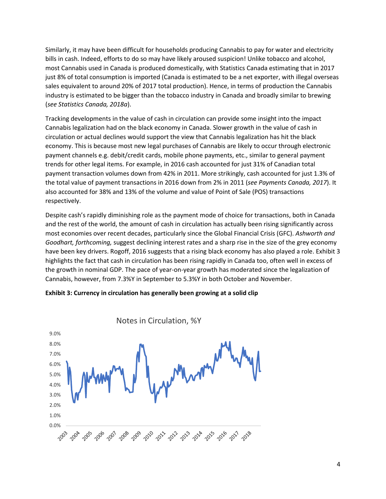Similarly, it may have been difficult for households producing Cannabis to pay for water and electricity bills in cash. Indeed, efforts to do so may have likely aroused suspicion! Unlike tobacco and alcohol, most Cannabis used in Canada is produced domestically, with Statistics Canada estimating that in 2017 just 8% of total consumption is imported (Canada is estimated to be a net exporter, with illegal overseas sales equivalent to around 20% of 2017 total production). Hence, in terms of production the Cannabis industry is estimated to be bigger than the tobacco industry in Canada and broadly similar to brewing (*see Statistics Canada, 2018a*).

Tracking developments in the value of cash in circulation can provide some insight into the impact Cannabis legalization had on the black economy in Canada. Slower growth in the value of cash in circulation or actual declines would support the view that Cannabis legalization has hit the black economy. This is because most new legal purchases of Cannabis are likely to occur through electronic payment channels e.g. debit/credit cards, mobile phone payments, etc., similar to general payment trends for other legal items. For example, in 2016 cash accounted for just 31% of Canadian total payment transaction volumes down from 42% in 2011. More strikingly, cash accounted for just 1.3% of the total value of payment transactions in 2016 down from 2% in 2011 (*see Payments Canada, 2017*). It also accounted for 38% and 13% of the volume and value of Point of Sale (POS) transactions respectively.

Despite cash's rapidly diminishing role as the payment mode of choice for transactions, both in Canada and the rest of the world, the amount of cash in circulation has actually been rising significantly across most economies over recent decades, particularly since the Global Financial Crisis (GFC). *Ashworth and Goodhart, forthcoming,* suggest declining interest rates and a sharp rise in the size of the grey economy have been key drivers. Rogoff, 2016 suggests that a rising black economy has also played a role. Exhibit 3 highlights the fact that cash in circulation has been rising rapidly in Canada too, often well in excess of the growth in nominal GDP. The pace of year-on-year growth has moderated since the legalization of Cannabis, however, from 7.3%Y in September to 5.3%Y in both October and November.



#### **Exhibit 3: Currency in circulation has generally been growing at a solid clip**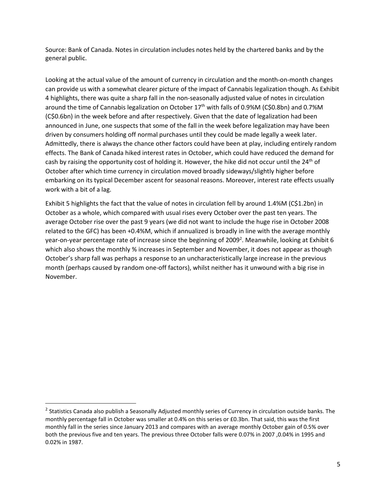Source: Bank of Canada. Notes in circulation includes notes held by the chartered banks and by the general public.

Looking at the actual value of the amount of currency in circulation and the month-on-month changes can provide us with a somewhat clearer picture of the impact of Cannabis legalization though. As Exhibit 4 highlights, there was quite a sharp fall in the non-seasonally adjusted value of notes in circulation around the time of Cannabis legalization on October 17<sup>th</sup> with falls of 0.9%M (C\$0.8bn) and 0.7%M (C\$0.6bn) in the week before and after respectively. Given that the date of legalization had been announced in June, one suspects that some of the fall in the week before legalization may have been driven by consumers holding off normal purchases until they could be made legally a week later. Admittedly, there is always the chance other factors could have been at play, including entirely random effects. The Bank of Canada hiked interest rates in October, which could have reduced the demand for cash by raising the opportunity cost of holding it. However, the hike did not occur until the 24<sup>th</sup> of October after which time currency in circulation moved broadly sideways/slightly higher before embarking on its typical December ascent for seasonal reasons. Moreover, interest rate effects usually work with a bit of a lag.

Exhibit 5 highlights the fact that the value of notes in circulation fell by around 1.4%M (C\$1.2bn) in October as a whole, which compared with usual rises every October over the past ten years. The average October rise over the past 9 years (we did not want to include the huge rise in October 2008 related to the GFC) has been +0.4%M, which if annualized is broadly in line with the average monthly year-on-year percentage rate of increase since the beginning of 2009<sup>2</sup>. Meanwhile, looking at Exhibit 6 which also shows the monthly % increases in September and November, it does not appear as though October's sharp fall was perhaps a response to an uncharacteristically large increase in the previous month (perhaps caused by random one-off factors), whilst neither has it unwound with a big rise in November.

 $\overline{\phantom{a}}$ 

 $^2$  Statistics Canada also publish a Seasonally Adjusted monthly series of Currency in circulation outside banks. The monthly percentage fall in October was smaller at 0.4% on this series or £0.3bn. That said, this was the first monthly fall in the series since January 2013 and compares with an average monthly October gain of 0.5% over both the previous five and ten years. The previous three October falls were 0.07% in 2007 ,0.04% in 1995 and 0.02% in 1987.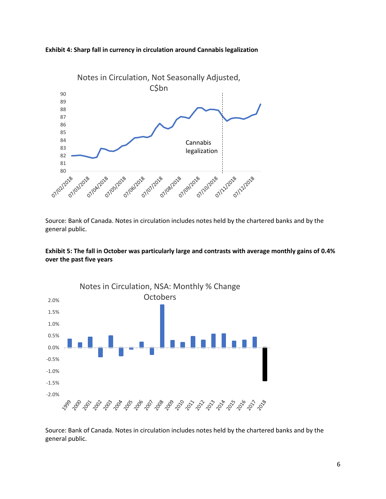



Source: Bank of Canada. Notes in circulation includes notes held by the chartered banks and by the general public.





Source: Bank of Canada. Notes in circulation includes notes held by the chartered banks and by the general public.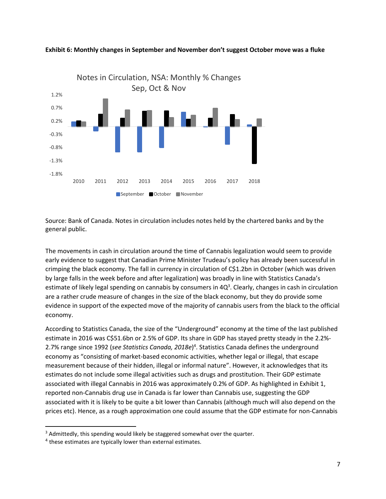

**Exhibit 6: Monthly changes in September and November don't suggest October move was a fluke** 

Source: Bank of Canada. Notes in circulation includes notes held by the chartered banks and by the general public.

The movements in cash in circulation around the time of Cannabis legalization would seem to provide early evidence to suggest that Canadian Prime Minister Trudeau's policy has already been successful in crimping the black economy. The fall in currency in circulation of C\$1.2bn in October (which was driven by large falls in the week before and after legalization) was broadly in line with Statistics Canada's estimate of likely legal spending on cannabis by consumers in 4Q<sup>3</sup>. Clearly, changes in cash in circulation are a rather crude measure of changes in the size of the black economy, but they do provide some evidence in support of the expected move of the majority of cannabis users from the black to the official economy.

According to Statistics Canada, the size of the "Underground" economy at the time of the last published estimate in 2016 was C\$51.6bn or 2.5% of GDP. Its share in GDP has stayed pretty steady in the 2.2%- 2.7% range since 1992 (*see Statistics Canada, 2018e*) 4 . Statistics Canada defines the underground economy as "consisting of market-based economic activities, whether legal or illegal, that escape measurement because of their hidden, illegal or informal nature". However, it acknowledges that its estimates do not include some illegal activities such as drugs and prostitution. Their GDP estimate associated with illegal Cannabis in 2016 was approximately 0.2% of GDP. As highlighted in Exhibit 1, reported non-Cannabis drug use in Canada is far lower than Cannabis use, suggesting the GDP associated with it is likely to be quite a bit lower than Cannabis (although much will also depend on the prices etc). Hence, as a rough approximation one could assume that the GDP estimate for non-Cannabis

 $\overline{\phantom{a}}$ 

<sup>&</sup>lt;sup>3</sup> Admittedly, this spending would likely be staggered somewhat over the quarter.

 $<sup>4</sup>$  these estimates are typically lower than external estimates.</sup>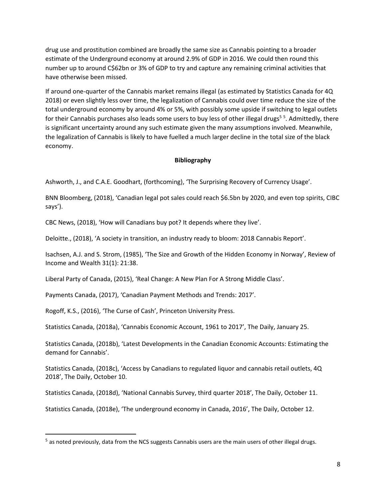drug use and prostitution combined are broadly the same size as Cannabis pointing to a broader estimate of the Underground economy at around 2.9% of GDP in 2016. We could then round this number up to around C\$62bn or 3% of GDP to try and capture any remaining criminal activities that have otherwise been missed.

If around one-quarter of the Cannabis market remains illegal (as estimated by Statistics Canada for 4Q 2018) or even slightly less over time, the legalization of Cannabis could over time reduce the size of the total underground economy by around 4% or 5%, with possibly some upside if switching to legal outlets for their Cannabis purchases also leads some users to buy less of other illegal drugs<sup>55</sup>. Admittedly, there is significant uncertainty around any such estimate given the many assumptions involved. Meanwhile, the legalization of Cannabis is likely to have fuelled a much larger decline in the total size of the black economy.

#### **Bibliography**

Ashworth, J., and C.A.E. Goodhart, (forthcoming), 'The Surprising Recovery of Currency Usage'.

BNN Bloomberg, (2018), 'Canadian legal pot sales could reach \$6.5bn by 2020, and even top spirits, CIBC says').

CBC News, (2018), 'How will Canadians buy pot? It depends where they live'.

Deloitte., (2018), 'A society in transition, an industry ready to bloom: 2018 Cannabis Report'.

Isachsen, A.J. and S. Strom, (1985), 'The Size and Growth of the Hidden Economy in Norway', Review of Income and Wealth 31(1): 21:38.

Liberal Party of Canada, (2015), 'Real Change: A New Plan For A Strong Middle Class'.

Payments Canada, (2017), 'Canadian Payment Methods and Trends: 2017'.

Rogoff, K.S., (2016), 'The Curse of Cash', Princeton University Press.

 $\overline{a}$ 

Statistics Canada, (2018a), 'Cannabis Economic Account, 1961 to 2017', The Daily, January 25.

Statistics Canada, (2018b), 'Latest Developments in the Canadian Economic Accounts: Estimating the demand for Cannabis'.

Statistics Canada, (2018c), 'Access by Canadians to regulated liquor and cannabis retail outlets, 4Q 2018', The Daily, October 10.

Statistics Canada, (2018d), 'National Cannabis Survey, third quarter 2018', The Daily, October 11.

Statistics Canada, (2018e), 'The underground economy in Canada, 2016', The Daily, October 12.

<sup>&</sup>lt;sup>5</sup> as noted previously, data from the NCS suggests Cannabis users are the main users of other illegal drugs.